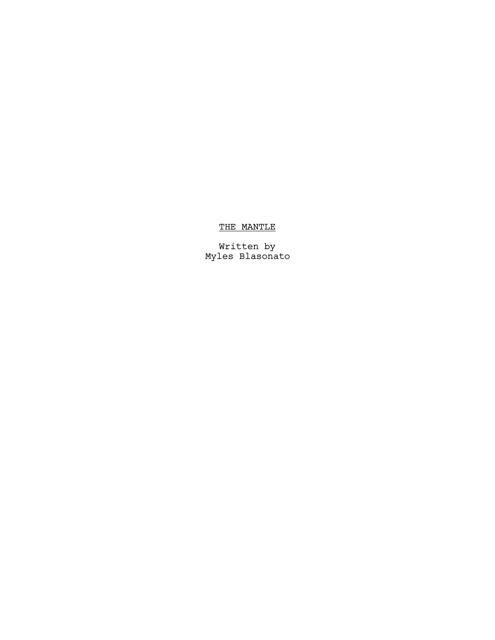## THE MANTLE

 Written by Myles Blasonato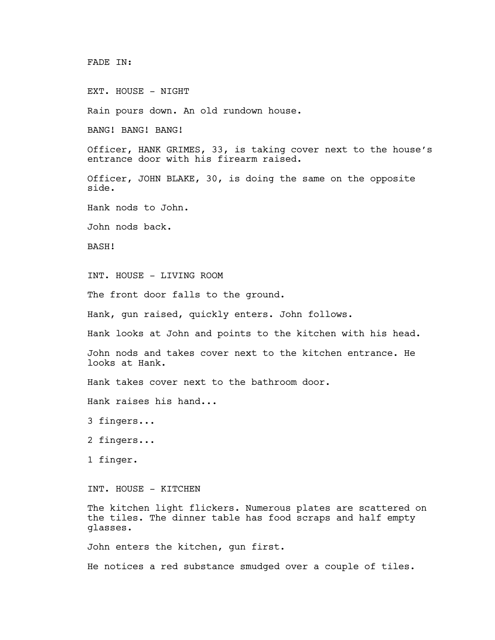FADE IN:

EXT. HOUSE - NIGHT

Rain pours down. An old rundown house.

BANG! BANG! BANG!

Officer, HANK GRIMES, 33, is taking cover next to the house's entrance door with his firearm raised.

Officer, JOHN BLAKE, 30, is doing the same on the opposite side.

Hank nods to John.

John nods back.

BASH!

INT. HOUSE - LIVING ROOM

The front door falls to the ground.

Hank, gun raised, quickly enters. John follows.

Hank looks at John and points to the kitchen with his head.

John nods and takes cover next to the kitchen entrance. He looks at Hank.

Hank takes cover next to the bathroom door.

Hank raises his hand...

3 fingers...

2 fingers...

1 finger.

INT. HOUSE - KITCHEN

The kitchen light flickers. Numerous plates are scattered on the tiles. The dinner table has food scraps and half empty glasses.

John enters the kitchen, gun first.

He notices a red substance smudged over a couple of tiles.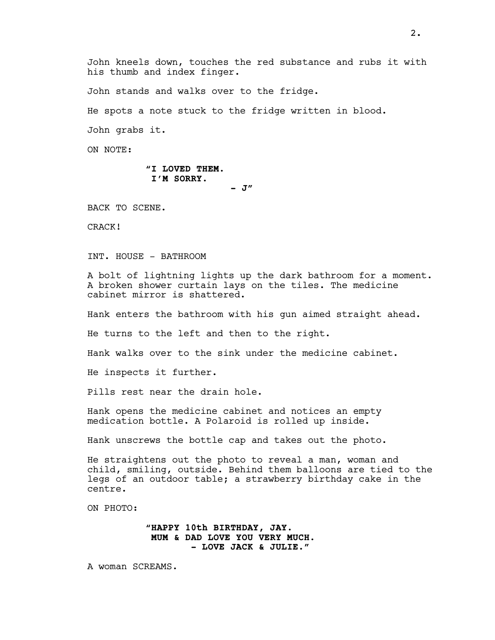John kneels down, touches the red substance and rubs it with his thumb and index finger.

John stands and walks over to the fridge.

He spots a note stuck to the fridge written in blood.

John grabs it.

ON NOTE:

## "I LOVED THEM. I'M SORRY.

 $J''$ 

BACK TO SCENE.

CRACK!

INT. HOUSE - BATHROOM

A bolt of lightning lights up the dark bathroom for a moment. A broken shower curtain lays on the tiles. The medicine cabinet mirror is shattered.

Hank enters the bathroom with his gun aimed straight ahead.

He turns to the left and then to the right.

Hank walks over to the sink under the medicine cabinet.

He inspects it further.

Pills rest near the drain hole.

Hank opens the medicine cabinet and notices an empty medication bottle. A Polaroid is rolled up inside.

Hank unscrews the bottle cap and takes out the photo.

He straightens out the photo to reveal a man, woman and child, smiling, outside. Behind them balloons are tied to the legs of an outdoor table; a strawberry birthday cake in the centre.

ON PHOTO:

"HAPPY 10th BIRTHDAY, JAY. MUM & DAD LOVE YOU VERY MUCH. - LOVE JACK & JULIE."

A woman SCREAMS.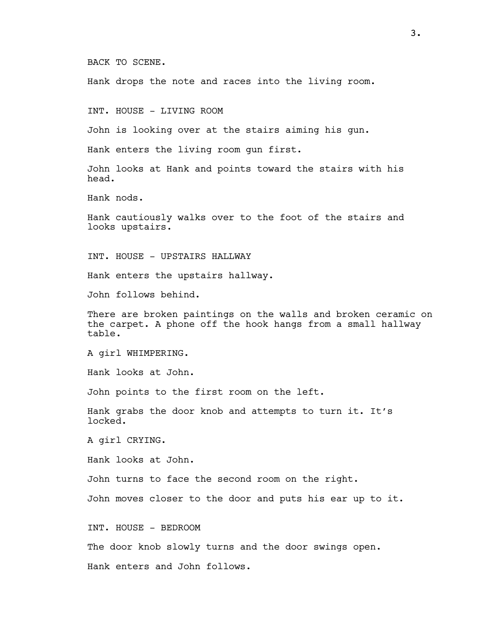BACK TO SCENE.

Hank drops the note and races into the living room.

INT. HOUSE - LIVING ROOM

John is looking over at the stairs aiming his gun.

Hank enters the living room gun first.

John looks at Hank and points toward the stairs with his head.

Hank nods.

Hank cautiously walks over to the foot of the stairs and looks upstairs.

INT. HOUSE - UPSTAIRS HALLWAY

Hank enters the upstairs hallway.

John follows behind.

There are broken paintings on the walls and broken ceramic on the carpet. A phone off the hook hangs from a small hallway table.

A girl WHIMPERING.

Hank looks at John.

John points to the first room on the left.

Hank grabs the door knob and attempts to turn it. It's locked.

A girl CRYING.

Hank looks at John.

John turns to face the second room on the right.

John moves closer to the door and puts his ear up to it.

INT. HOUSE - BEDROOM

The door knob slowly turns and the door swings open.

Hank enters and John follows.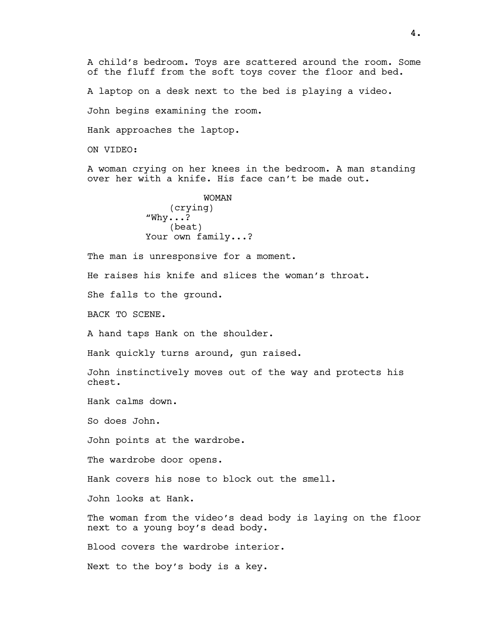A child's bedroom. Toys are scattered around the room. Some of the fluff from the soft toys cover the floor and bed.

A laptop on a desk next to the bed is playing a video.

John begins examining the room.

Hank approaches the laptop.

ON VIDEO:

A woman crying on her knees in the bedroom. A man standing over her with a knife. His face can't be made out.

> WOMAN (crying)  $"W$ hy...? (beat) Your own family...?

The man is unresponsive for a moment.

He raises his knife and slices the woman's throat.

She falls to the ground.

BACK TO SCENE.

A hand taps Hank on the shoulder.

Hank quickly turns around, gun raised.

John instinctively moves out of the way and protects his chest.

Hank calms down.

So does John.

John points at the wardrobe.

The wardrobe door opens.

Hank covers his nose to block out the smell.

John looks at Hank.

The woman from the video's dead body is laying on the floor next to a young boy's dead body.

Blood covers the wardrobe interior.

Next to the boy's body is a key.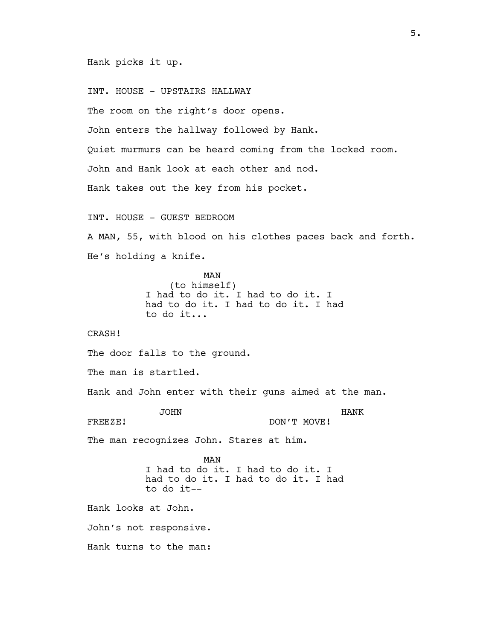Hank picks it up.

INT. HOUSE - UPSTAIRS HALLWAY

The room on the right's door opens.

John enters the hallway followed by Hank.

Quiet murmurs can be heard coming from the locked room.

John and Hank look at each other and nod.

Hank takes out the key from his pocket.

INT. HOUSE - GUEST BEDROOM

A MAN, 55, with blood on his clothes paces back and forth. He's holding a knife.

> MAN (to himself) I had to do it. I had to do it. I had to do it. I had to do it. I had to do it...

CRASH!

The door falls to the ground.

The man is startled.

Hank and John enter with their guns aimed at the man.

JOHN FREEZE!

HANK DON'T MOVE!

The man recognizes John. Stares at him.

MAN I had to do it. I had to do it. I had to do it. I had to do it. I had to do it--

Hank looks at John.

John's not responsive.

Hank turns to the man: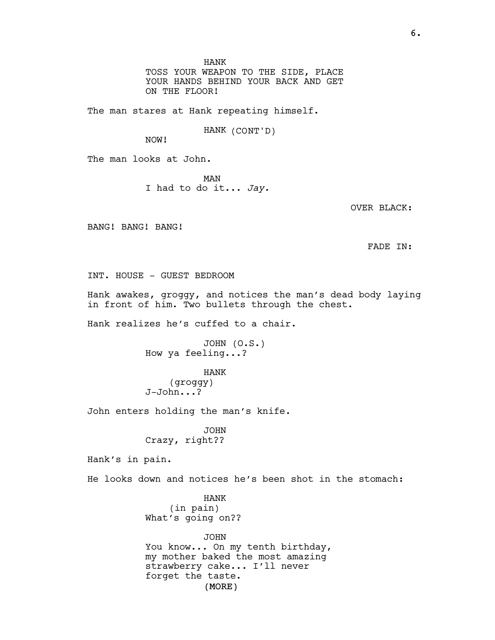HANK

TOSS YOUR WEAPON TO THE SIDE, PLACE YOUR HANDS BEHIND YOUR BACK AND GET ON THE FLOOR!

The man stares at Hank repeating himself.

HANK (CONT'D)

NOW!

The man looks at John.

MAN I had to do it... Jay.

OVER BLACK:

BANG! BANG! BANG!

FADE IN:

INT. HOUSE - GUEST BEDROOM

Hank awakes, groggy, and notices the man's dead body laying in front of him. Two bullets through the chest.

Hank realizes he's cuffed to a chair.

JOHN (O.S.) How ya feeling...?

HANK (groggy) J-John...?

John enters holding the man's knife.

JOHN Crazy, right??

Hank's in pain.

He looks down and notices he's been shot in the stomach:

HANK (in pain) What's going on??

(MORE) JOHN You know... On my tenth birthday, my mother baked the most amazing strawberry cake... I'll never forget the taste.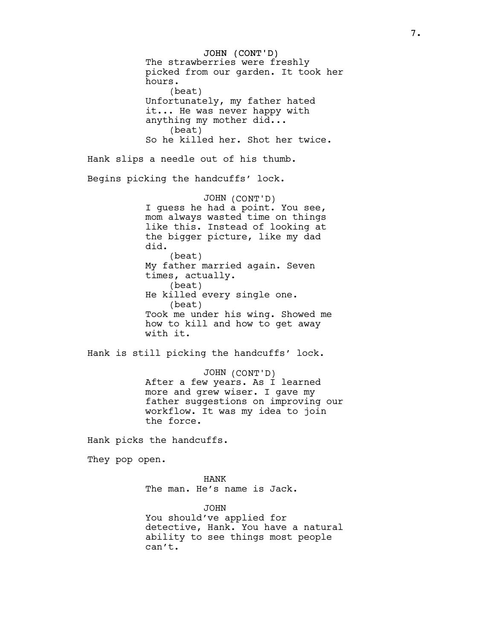JOHN (CONT'D) The strawberries were freshly picked from our garden. It took her hours. (beat) Unfortunately, my father hated it... He was never happy with anything my mother did... (beat) So he killed her. Shot her twice. Hank slips a needle out of his thumb. Begins picking the handcuffs' lock. JOHN (CONT'D) I guess he had a point. You see, mom always wasted time on things like this. Instead of looking at the bigger picture, like my dad did. (beat) My father married again. Seven times, actually. (beat) He killed every single one. (beat) Took me under his wing. Showed me how to kill and how to get away with it.

Hank is still picking the handcuffs' lock.

JOHN (CONT'D) After a few years. As I learned more and grew wiser. I gave my father suggestions on improving our workflow. It was my idea to join the force.

Hank picks the handcuffs.

They pop open.

HANK The man. He's name is Jack.

JOHN You should've applied for detective, Hank. You have a natural ability to see things most people can't.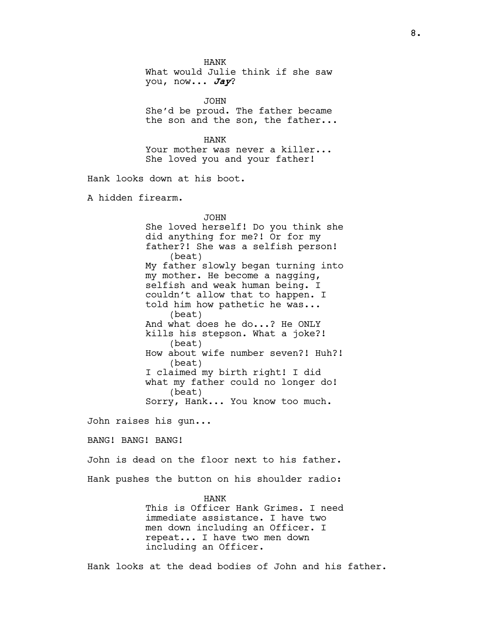HANK What would Julie think if she saw you, now... Jay?

JOHN She'd be proud. The father became the son and the son, the father...

HANK Your mother was never a killer... She loved you and your father!

Hank looks down at his boot.

A hidden firearm.

## JOHN

She loved herself! Do you think she did anything for me?! Or for my father?! She was a selfish person! (beat) My father slowly began turning into my mother. He become a nagging, selfish and weak human being. I couldn't allow that to happen. I told him how pathetic he was... (beat) And what does he do...? He ONLY kills his stepson. What a joke?! (beat) How about wife number seven?! Huh?! (beat) I claimed my birth right! I did what my father could no longer do! (beat) Sorry, Hank... You know too much.

John raises his gun...

BANG! BANG! BANG!

John is dead on the floor next to his father. Hank pushes the button on his shoulder radio:

## HANK

This is Officer Hank Grimes. I need immediate assistance. I have two men down including an Officer. I repeat... I have two men down including an Officer.

Hank looks at the dead bodies of John and his father.